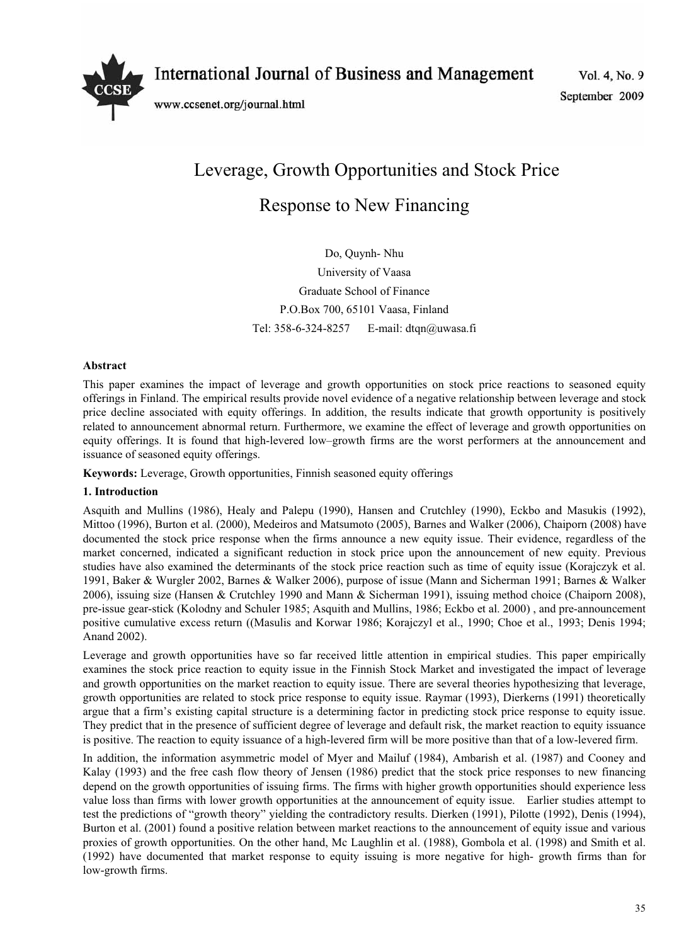

International Journal of Business and Management

www.ccsenet.org/journal.html

Vol. 4, No. 9 September 2009

# Leverage, Growth Opportunities and Stock Price Response to New Financing

Do, Quynh- Nhu University of Vaasa Graduate School of Finance P.O.Box 700, 65101 Vaasa, Finland Tel: 358-6-324-8257 E-mail: dtqn@uwasa.fi

# **Abstract**

This paper examines the impact of leverage and growth opportunities on stock price reactions to seasoned equity offerings in Finland. The empirical results provide novel evidence of a negative relationship between leverage and stock price decline associated with equity offerings. In addition, the results indicate that growth opportunity is positively related to announcement abnormal return. Furthermore, we examine the effect of leverage and growth opportunities on equity offerings. It is found that high-levered low–growth firms are the worst performers at the announcement and issuance of seasoned equity offerings.

**Keywords:** Leverage, Growth opportunities, Finnish seasoned equity offerings

# **1. Introduction**

Asquith and Mullins (1986), Healy and Palepu (1990), Hansen and Crutchley (1990), Eckbo and Masukis (1992), Mittoo (1996), Burton et al. (2000), Medeiros and Matsumoto (2005), Barnes and Walker (2006), Chaiporn (2008) have documented the stock price response when the firms announce a new equity issue. Their evidence, regardless of the market concerned, indicated a significant reduction in stock price upon the announcement of new equity. Previous studies have also examined the determinants of the stock price reaction such as time of equity issue (Korajczyk et al. 1991, Baker & Wurgler 2002, Barnes & Walker 2006), purpose of issue (Mann and Sicherman 1991; Barnes & Walker 2006), issuing size (Hansen & Crutchley 1990 and Mann & Sicherman 1991), issuing method choice (Chaiporn 2008), pre-issue gear-stick (Kolodny and Schuler 1985; Asquith and Mullins, 1986; Eckbo et al. 2000) , and pre-announcement positive cumulative excess return ((Masulis and Korwar 1986; Korajczyl et al., 1990; Choe et al., 1993; Denis 1994; Anand 2002).

Leverage and growth opportunities have so far received little attention in empirical studies. This paper empirically examines the stock price reaction to equity issue in the Finnish Stock Market and investigated the impact of leverage and growth opportunities on the market reaction to equity issue. There are several theories hypothesizing that leverage, growth opportunities are related to stock price response to equity issue. Raymar (1993), Dierkerns (1991) theoretically argue that a firm's existing capital structure is a determining factor in predicting stock price response to equity issue. They predict that in the presence of sufficient degree of leverage and default risk, the market reaction to equity issuance is positive. The reaction to equity issuance of a high-levered firm will be more positive than that of a low-levered firm.

In addition, the information asymmetric model of Myer and Mailuf (1984), Ambarish et al. (1987) and Cooney and Kalay (1993) and the free cash flow theory of Jensen (1986) predict that the stock price responses to new financing depend on the growth opportunities of issuing firms. The firms with higher growth opportunities should experience less value loss than firms with lower growth opportunities at the announcement of equity issue. Earlier studies attempt to test the predictions of "growth theory" yielding the contradictory results. Dierken (1991), Pilotte (1992), Denis (1994), Burton et al. (2001) found a positive relation between market reactions to the announcement of equity issue and various proxies of growth opportunities. On the other hand, Mc Laughlin et al. (1988), Gombola et al. (1998) and Smith et al. (1992) have documented that market response to equity issuing is more negative for high- growth firms than for low-growth firms.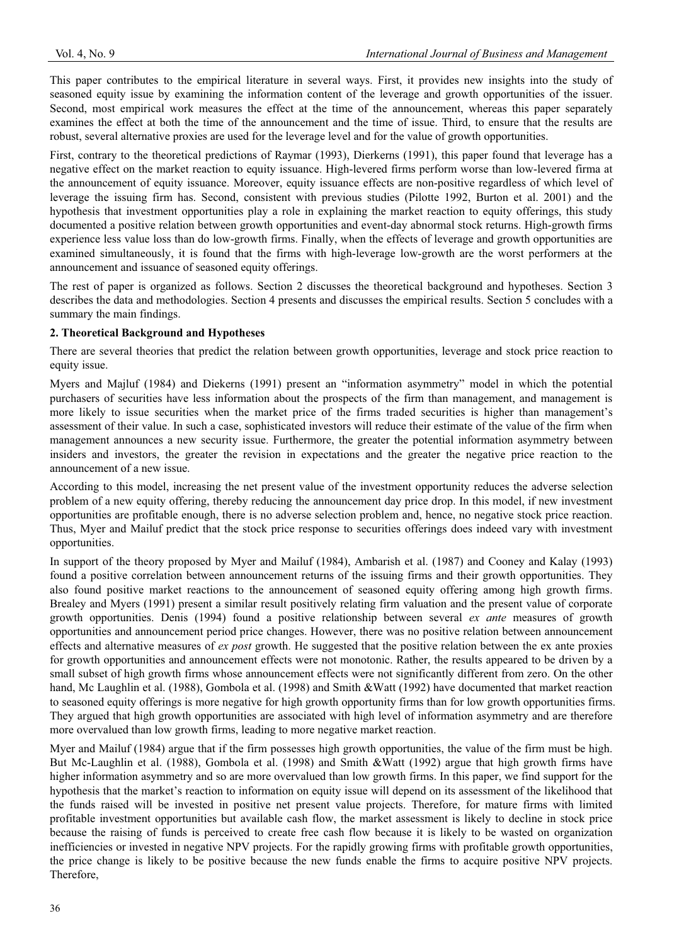This paper contributes to the empirical literature in several ways. First, it provides new insights into the study of seasoned equity issue by examining the information content of the leverage and growth opportunities of the issuer. Second, most empirical work measures the effect at the time of the announcement, whereas this paper separately examines the effect at both the time of the announcement and the time of issue. Third, to ensure that the results are robust, several alternative proxies are used for the leverage level and for the value of growth opportunities.

First, contrary to the theoretical predictions of Raymar (1993), Dierkerns (1991), this paper found that leverage has a negative effect on the market reaction to equity issuance. High-levered firms perform worse than low-levered firma at the announcement of equity issuance. Moreover, equity issuance effects are non-positive regardless of which level of leverage the issuing firm has. Second, consistent with previous studies (Pilotte 1992, Burton et al. 2001) and the hypothesis that investment opportunities play a role in explaining the market reaction to equity offerings, this study documented a positive relation between growth opportunities and event-day abnormal stock returns. High-growth firms experience less value loss than do low-growth firms. Finally, when the effects of leverage and growth opportunities are examined simultaneously, it is found that the firms with high-leverage low-growth are the worst performers at the announcement and issuance of seasoned equity offerings.

The rest of paper is organized as follows. Section 2 discusses the theoretical background and hypotheses. Section 3 describes the data and methodologies. Section 4 presents and discusses the empirical results. Section 5 concludes with a summary the main findings.

## **2. Theoretical Background and Hypotheses**

There are several theories that predict the relation between growth opportunities, leverage and stock price reaction to equity issue.

Myers and Majluf (1984) and Diekerns (1991) present an "information asymmetry" model in which the potential purchasers of securities have less information about the prospects of the firm than management, and management is more likely to issue securities when the market price of the firms traded securities is higher than management's assessment of their value. In such a case, sophisticated investors will reduce their estimate of the value of the firm when management announces a new security issue. Furthermore, the greater the potential information asymmetry between insiders and investors, the greater the revision in expectations and the greater the negative price reaction to the announcement of a new issue.

According to this model, increasing the net present value of the investment opportunity reduces the adverse selection problem of a new equity offering, thereby reducing the announcement day price drop. In this model, if new investment opportunities are profitable enough, there is no adverse selection problem and, hence, no negative stock price reaction. Thus, Myer and Mailuf predict that the stock price response to securities offerings does indeed vary with investment opportunities.

In support of the theory proposed by Myer and Mailuf (1984), Ambarish et al. (1987) and Cooney and Kalay (1993) found a positive correlation between announcement returns of the issuing firms and their growth opportunities. They also found positive market reactions to the announcement of seasoned equity offering among high growth firms. Brealey and Myers (1991) present a similar result positively relating firm valuation and the present value of corporate growth opportunities. Denis (1994) found a positive relationship between several *ex ante* measures of growth opportunities and announcement period price changes. However, there was no positive relation between announcement effects and alternative measures of *ex post* growth. He suggested that the positive relation between the ex ante proxies for growth opportunities and announcement effects were not monotonic. Rather, the results appeared to be driven by a small subset of high growth firms whose announcement effects were not significantly different from zero. On the other hand, Mc Laughlin et al. (1988), Gombola et al. (1998) and Smith &Watt (1992) have documented that market reaction to seasoned equity offerings is more negative for high growth opportunity firms than for low growth opportunities firms. They argued that high growth opportunities are associated with high level of information asymmetry and are therefore more overvalued than low growth firms, leading to more negative market reaction.

Myer and Mailuf (1984) argue that if the firm possesses high growth opportunities, the value of the firm must be high. But Mc-Laughlin et al. (1988), Gombola et al. (1998) and Smith &Watt (1992) argue that high growth firms have higher information asymmetry and so are more overvalued than low growth firms. In this paper, we find support for the hypothesis that the market's reaction to information on equity issue will depend on its assessment of the likelihood that the funds raised will be invested in positive net present value projects. Therefore, for mature firms with limited profitable investment opportunities but available cash flow, the market assessment is likely to decline in stock price because the raising of funds is perceived to create free cash flow because it is likely to be wasted on organization inefficiencies or invested in negative NPV projects. For the rapidly growing firms with profitable growth opportunities, the price change is likely to be positive because the new funds enable the firms to acquire positive NPV projects. Therefore,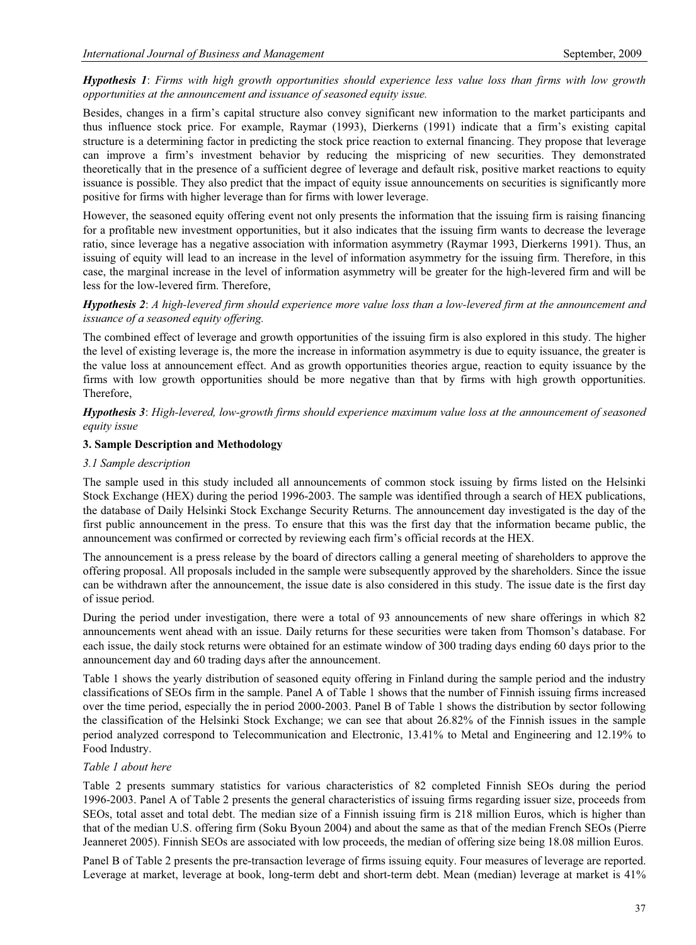## *Hypothesis 1*: *Firms with high growth opportunities should experience less value loss than firms with low growth opportunities at the announcement and issuance of seasoned equity issue.*

Besides, changes in a firm's capital structure also convey significant new information to the market participants and thus influence stock price. For example, Raymar (1993), Dierkerns (1991) indicate that a firm's existing capital structure is a determining factor in predicting the stock price reaction to external financing. They propose that leverage can improve a firm's investment behavior by reducing the mispricing of new securities. They demonstrated theoretically that in the presence of a sufficient degree of leverage and default risk, positive market reactions to equity issuance is possible. They also predict that the impact of equity issue announcements on securities is significantly more positive for firms with higher leverage than for firms with lower leverage.

However, the seasoned equity offering event not only presents the information that the issuing firm is raising financing for a profitable new investment opportunities, but it also indicates that the issuing firm wants to decrease the leverage ratio, since leverage has a negative association with information asymmetry (Raymar 1993, Dierkerns 1991). Thus, an issuing of equity will lead to an increase in the level of information asymmetry for the issuing firm. Therefore, in this case, the marginal increase in the level of information asymmetry will be greater for the high-levered firm and will be less for the low-levered firm. Therefore,

## *Hypothesis 2*: *A high-levered firm should experience more value loss than a low-levered firm at the announcement and issuance of a seasoned equity offering.*

The combined effect of leverage and growth opportunities of the issuing firm is also explored in this study. The higher the level of existing leverage is, the more the increase in information asymmetry is due to equity issuance, the greater is the value loss at announcement effect. And as growth opportunities theories argue, reaction to equity issuance by the firms with low growth opportunities should be more negative than that by firms with high growth opportunities. Therefore,

*Hypothesis 3*: *High-levered, low-growth firms should experience maximum value loss at the announcement of seasoned equity issue*

## **3. Sample Description and Methodology**

## *3.1 Sample description*

The sample used in this study included all announcements of common stock issuing by firms listed on the Helsinki Stock Exchange (HEX) during the period 1996-2003. The sample was identified through a search of HEX publications, the database of Daily Helsinki Stock Exchange Security Returns. The announcement day investigated is the day of the first public announcement in the press. To ensure that this was the first day that the information became public, the announcement was confirmed or corrected by reviewing each firm's official records at the HEX.

The announcement is a press release by the board of directors calling a general meeting of shareholders to approve the offering proposal. All proposals included in the sample were subsequently approved by the shareholders. Since the issue can be withdrawn after the announcement, the issue date is also considered in this study. The issue date is the first day of issue period.

During the period under investigation, there were a total of 93 announcements of new share offerings in which 82 announcements went ahead with an issue. Daily returns for these securities were taken from Thomson's database. For each issue, the daily stock returns were obtained for an estimate window of 300 trading days ending 60 days prior to the announcement day and 60 trading days after the announcement.

Table 1 shows the yearly distribution of seasoned equity offering in Finland during the sample period and the industry classifications of SEOs firm in the sample. Panel A of Table 1 shows that the number of Finnish issuing firms increased over the time period, especially the in period 2000-2003. Panel B of Table 1 shows the distribution by sector following the classification of the Helsinki Stock Exchange; we can see that about 26.82% of the Finnish issues in the sample period analyzed correspond to Telecommunication and Electronic, 13.41% to Metal and Engineering and 12.19% to Food Industry.

#### *Table 1 about here*

Table 2 presents summary statistics for various characteristics of 82 completed Finnish SEOs during the period 1996-2003. Panel A of Table 2 presents the general characteristics of issuing firms regarding issuer size, proceeds from SEOs, total asset and total debt. The median size of a Finnish issuing firm is 218 million Euros, which is higher than that of the median U.S. offering firm (Soku Byoun 2004) and about the same as that of the median French SEOs (Pierre Jeanneret 2005). Finnish SEOs are associated with low proceeds, the median of offering size being 18.08 million Euros.

Panel B of Table 2 presents the pre-transaction leverage of firms issuing equity. Four measures of leverage are reported. Leverage at market, leverage at book, long-term debt and short-term debt. Mean (median) leverage at market is 41%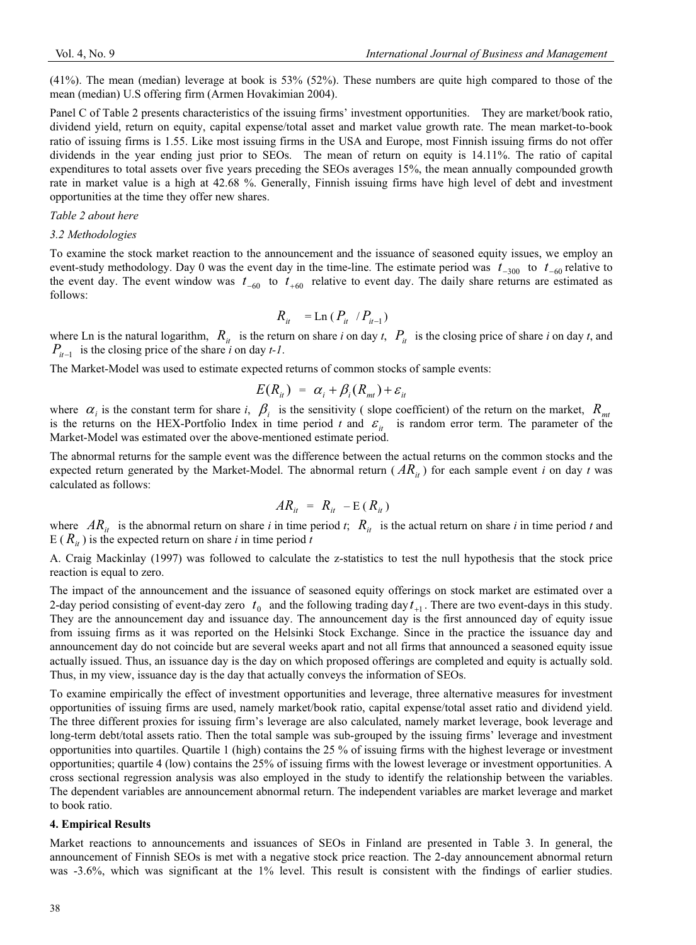(41%). The mean (median) leverage at book is 53% (52%). These numbers are quite high compared to those of the mean (median) U.S offering firm (Armen Hovakimian 2004).

Panel C of Table 2 presents characteristics of the issuing firms' investment opportunities. They are market/book ratio, dividend yield, return on equity, capital expense/total asset and market value growth rate. The mean market-to-book ratio of issuing firms is 1.55. Like most issuing firms in the USA and Europe, most Finnish issuing firms do not offer dividends in the year ending just prior to SEOs. The mean of return on equity is 14.11%. The ratio of capital expenditures to total assets over five years preceding the SEOs averages 15%, the mean annually compounded growth rate in market value is a high at 42.68 %. Generally, Finnish issuing firms have high level of debt and investment opportunities at the time they offer new shares.

#### *Table 2 about here*

#### *3.2 Methodologies*

To examine the stock market reaction to the announcement and the issuance of seasoned equity issues, we employ an event-study methodology. Day 0 was the event day in the time-line. The estimate period was  $t_{-300}$  to  $t_{-60}$  relative to the event day. The event window was  $t_{-60}$  to  $t_{+60}$  relative to event day. The daily share returns are estimated as follows:

$$
R_{it} = \text{Ln} (P_{it} / P_{it-1})
$$

where Ln is the natural logarithm,  $R_{it}$  is the return on share *i* on day *t*,  $P_{it}$  is the closing price of share *i* on day *t*, and  $P_{it-1}$  is the closing price of the share *i* on day *t*-1.

The Market-Model was used to estimate expected returns of common stocks of sample events:

$$
E(R_{ii}) = \alpha_i + \beta_i(R_{mi}) + \varepsilon_{ii}
$$

where  $\alpha_i$  is the constant term for share *i*,  $\beta_i$  is the sensitivity (slope coefficient) of the return on the market,  $R_{mt}$ is the returns on the HEX-Portfolio Index in time period *t* and  $\varepsilon$ <sub>it</sub> is random error term. The parameter of the Market-Model was estimated over the above-mentioned estimate period.

The abnormal returns for the sample event was the difference between the actual returns on the common stocks and the expected return generated by the Market-Model. The abnormal return  $( AR_{it} )$  for each sample event *i* on day *t* was calculated as follows:

$$
AR_{it} = R_{it} - E(R_{it})
$$

where  $AR_{it}$  is the abnormal return on share *i* in time period *t*;  $R_{it}$  is the actual return on share *i* in time period *t* and E ( $R_{it}$ ) is the expected return on share *i* in time period *t* 

A. Craig Mackinlay (1997) was followed to calculate the z-statistics to test the null hypothesis that the stock price reaction is equal to zero.

The impact of the announcement and the issuance of seasoned equity offerings on stock market are estimated over a 2-day period consisting of event-day zero  $t_0$  and the following trading day  $t_{+1}$ . There are two event-days in this study. They are the announcement day and issuance day. The announcement day is the first announced day of equity issue from issuing firms as it was reported on the Helsinki Stock Exchange. Since in the practice the issuance day and announcement day do not coincide but are several weeks apart and not all firms that announced a seasoned equity issue actually issued. Thus, an issuance day is the day on which proposed offerings are completed and equity is actually sold. Thus, in my view, issuance day is the day that actually conveys the information of SEOs.

To examine empirically the effect of investment opportunities and leverage, three alternative measures for investment opportunities of issuing firms are used, namely market/book ratio, capital expense/total asset ratio and dividend yield. The three different proxies for issuing firm's leverage are also calculated, namely market leverage, book leverage and long-term debt/total assets ratio. Then the total sample was sub-grouped by the issuing firms' leverage and investment opportunities into quartiles. Quartile 1 (high) contains the 25 % of issuing firms with the highest leverage or investment opportunities; quartile 4 (low) contains the 25% of issuing firms with the lowest leverage or investment opportunities. A cross sectional regression analysis was also employed in the study to identify the relationship between the variables. The dependent variables are announcement abnormal return. The independent variables are market leverage and market to book ratio.

#### **4. Empirical Results**

Market reactions to announcements and issuances of SEOs in Finland are presented in Table 3. In general, the announcement of Finnish SEOs is met with a negative stock price reaction. The 2-day announcement abnormal return was -3.6%, which was significant at the 1% level. This result is consistent with the findings of earlier studies.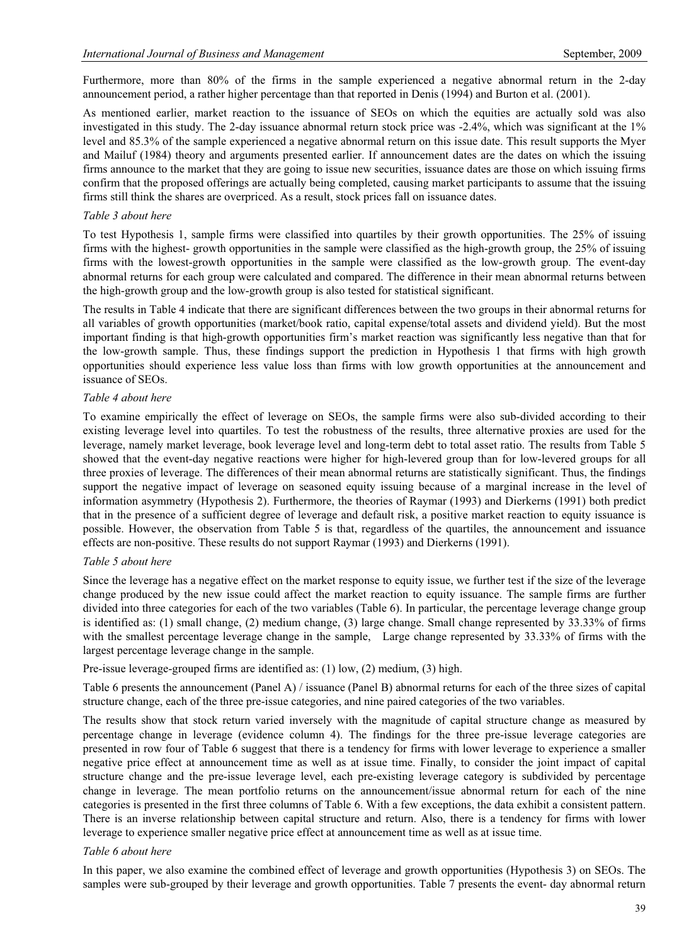Furthermore, more than 80% of the firms in the sample experienced a negative abnormal return in the 2-day announcement period, a rather higher percentage than that reported in Denis (1994) and Burton et al. (2001).

As mentioned earlier, market reaction to the issuance of SEOs on which the equities are actually sold was also investigated in this study. The 2-day issuance abnormal return stock price was -2.4%, which was significant at the 1% level and 85.3% of the sample experienced a negative abnormal return on this issue date. This result supports the Myer and Mailuf (1984) theory and arguments presented earlier. If announcement dates are the dates on which the issuing firms announce to the market that they are going to issue new securities, issuance dates are those on which issuing firms confirm that the proposed offerings are actually being completed, causing market participants to assume that the issuing firms still think the shares are overpriced. As a result, stock prices fall on issuance dates.

#### *Table 3 about here*

To test Hypothesis 1, sample firms were classified into quartiles by their growth opportunities. The 25% of issuing firms with the highest- growth opportunities in the sample were classified as the high-growth group, the 25% of issuing firms with the lowest-growth opportunities in the sample were classified as the low-growth group. The event-day abnormal returns for each group were calculated and compared. The difference in their mean abnormal returns between the high-growth group and the low-growth group is also tested for statistical significant.

The results in Table 4 indicate that there are significant differences between the two groups in their abnormal returns for all variables of growth opportunities (market/book ratio, capital expense/total assets and dividend yield). But the most important finding is that high-growth opportunities firm's market reaction was significantly less negative than that for the low-growth sample. Thus, these findings support the prediction in Hypothesis 1 that firms with high growth opportunities should experience less value loss than firms with low growth opportunities at the announcement and issuance of SEOs.

## *Table 4 about here*

To examine empirically the effect of leverage on SEOs, the sample firms were also sub-divided according to their existing leverage level into quartiles. To test the robustness of the results, three alternative proxies are used for the leverage, namely market leverage, book leverage level and long-term debt to total asset ratio. The results from Table 5 showed that the event-day negative reactions were higher for high-levered group than for low-levered groups for all three proxies of leverage. The differences of their mean abnormal returns are statistically significant. Thus, the findings support the negative impact of leverage on seasoned equity issuing because of a marginal increase in the level of information asymmetry (Hypothesis 2). Furthermore, the theories of Raymar (1993) and Dierkerns (1991) both predict that in the presence of a sufficient degree of leverage and default risk, a positive market reaction to equity issuance is possible. However, the observation from Table 5 is that, regardless of the quartiles, the announcement and issuance effects are non-positive. These results do not support Raymar (1993) and Dierkerns (1991).

#### *Table 5 about here*

Since the leverage has a negative effect on the market response to equity issue, we further test if the size of the leverage change produced by the new issue could affect the market reaction to equity issuance. The sample firms are further divided into three categories for each of the two variables (Table 6). In particular, the percentage leverage change group is identified as: (1) small change, (2) medium change, (3) large change. Small change represented by 33.33% of firms with the smallest percentage leverage change in the sample, Large change represented by 33.33% of firms with the largest percentage leverage change in the sample.

Pre-issue leverage-grouped firms are identified as: (1) low, (2) medium, (3) high.

Table 6 presents the announcement (Panel A) / issuance (Panel B) abnormal returns for each of the three sizes of capital structure change, each of the three pre-issue categories, and nine paired categories of the two variables.

The results show that stock return varied inversely with the magnitude of capital structure change as measured by percentage change in leverage (evidence column 4). The findings for the three pre-issue leverage categories are presented in row four of Table 6 suggest that there is a tendency for firms with lower leverage to experience a smaller negative price effect at announcement time as well as at issue time. Finally, to consider the joint impact of capital structure change and the pre-issue leverage level, each pre-existing leverage category is subdivided by percentage change in leverage. The mean portfolio returns on the announcement/issue abnormal return for each of the nine categories is presented in the first three columns of Table 6. With a few exceptions, the data exhibit a consistent pattern. There is an inverse relationship between capital structure and return. Also, there is a tendency for firms with lower leverage to experience smaller negative price effect at announcement time as well as at issue time.

#### *Table 6 about here*

In this paper, we also examine the combined effect of leverage and growth opportunities (Hypothesis 3) on SEOs. The samples were sub-grouped by their leverage and growth opportunities. Table 7 presents the event- day abnormal return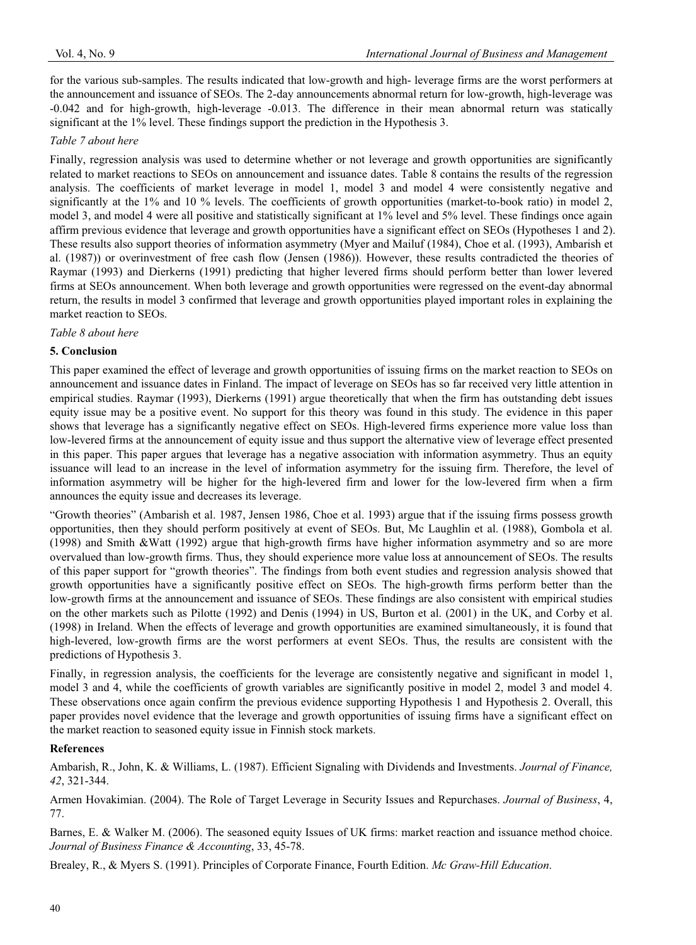for the various sub-samples. The results indicated that low-growth and high- leverage firms are the worst performers at the announcement and issuance of SEOs. The 2-day announcements abnormal return for low-growth, high-leverage was -0.042 and for high-growth, high-leverage -0.013. The difference in their mean abnormal return was statically significant at the 1% level. These findings support the prediction in the Hypothesis 3.

## *Table 7 about here*

Finally, regression analysis was used to determine whether or not leverage and growth opportunities are significantly related to market reactions to SEOs on announcement and issuance dates. Table 8 contains the results of the regression analysis. The coefficients of market leverage in model 1, model 3 and model 4 were consistently negative and significantly at the 1% and 10 % levels. The coefficients of growth opportunities (market-to-book ratio) in model 2, model 3, and model 4 were all positive and statistically significant at 1% level and 5% level. These findings once again affirm previous evidence that leverage and growth opportunities have a significant effect on SEOs (Hypotheses 1 and 2). These results also support theories of information asymmetry (Myer and Mailuf (1984), Choe et al. (1993), Ambarish et al. (1987)) or overinvestment of free cash flow (Jensen (1986)). However, these results contradicted the theories of Raymar (1993) and Dierkerns (1991) predicting that higher levered firms should perform better than lower levered firms at SEOs announcement. When both leverage and growth opportunities were regressed on the event-day abnormal return, the results in model 3 confirmed that leverage and growth opportunities played important roles in explaining the market reaction to SEOs.

## *Table 8 about here*

## **5. Conclusion**

This paper examined the effect of leverage and growth opportunities of issuing firms on the market reaction to SEOs on announcement and issuance dates in Finland. The impact of leverage on SEOs has so far received very little attention in empirical studies. Raymar (1993), Dierkerns (1991) argue theoretically that when the firm has outstanding debt issues equity issue may be a positive event. No support for this theory was found in this study. The evidence in this paper shows that leverage has a significantly negative effect on SEOs. High-levered firms experience more value loss than low-levered firms at the announcement of equity issue and thus support the alternative view of leverage effect presented in this paper. This paper argues that leverage has a negative association with information asymmetry. Thus an equity issuance will lead to an increase in the level of information asymmetry for the issuing firm. Therefore, the level of information asymmetry will be higher for the high-levered firm and lower for the low-levered firm when a firm announces the equity issue and decreases its leverage.

"Growth theories" (Ambarish et al. 1987, Jensen 1986, Choe et al. 1993) argue that if the issuing firms possess growth opportunities, then they should perform positively at event of SEOs. But, Mc Laughlin et al. (1988), Gombola et al. (1998) and Smith &Watt (1992) argue that high-growth firms have higher information asymmetry and so are more overvalued than low-growth firms. Thus, they should experience more value loss at announcement of SEOs. The results of this paper support for "growth theories". The findings from both event studies and regression analysis showed that growth opportunities have a significantly positive effect on SEOs. The high-growth firms perform better than the low-growth firms at the announcement and issuance of SEOs. These findings are also consistent with empirical studies on the other markets such as Pilotte (1992) and Denis (1994) in US, Burton et al. (2001) in the UK, and Corby et al. (1998) in Ireland. When the effects of leverage and growth opportunities are examined simultaneously, it is found that high-levered, low-growth firms are the worst performers at event SEOs. Thus, the results are consistent with the predictions of Hypothesis 3.

Finally, in regression analysis, the coefficients for the leverage are consistently negative and significant in model 1, model 3 and 4, while the coefficients of growth variables are significantly positive in model 2, model 3 and model 4. These observations once again confirm the previous evidence supporting Hypothesis 1 and Hypothesis 2. Overall, this paper provides novel evidence that the leverage and growth opportunities of issuing firms have a significant effect on the market reaction to seasoned equity issue in Finnish stock markets.

## **References**

Ambarish, R., John, K. & Williams, L. (1987). Efficient Signaling with Dividends and Investments. *Journal of Finance, 42*, 321-344.

Armen Hovakimian. (2004). The Role of Target Leverage in Security Issues and Repurchases. *Journal of Business*, 4, 77.

Barnes, E. & Walker M. (2006). The seasoned equity Issues of UK firms: market reaction and issuance method choice. *Journal of Business Finance & Accounting*, 33, 45-78.

Brealey, R., & Myers S. (1991). Principles of Corporate Finance, Fourth Edition. *Mc Graw-Hill Education*.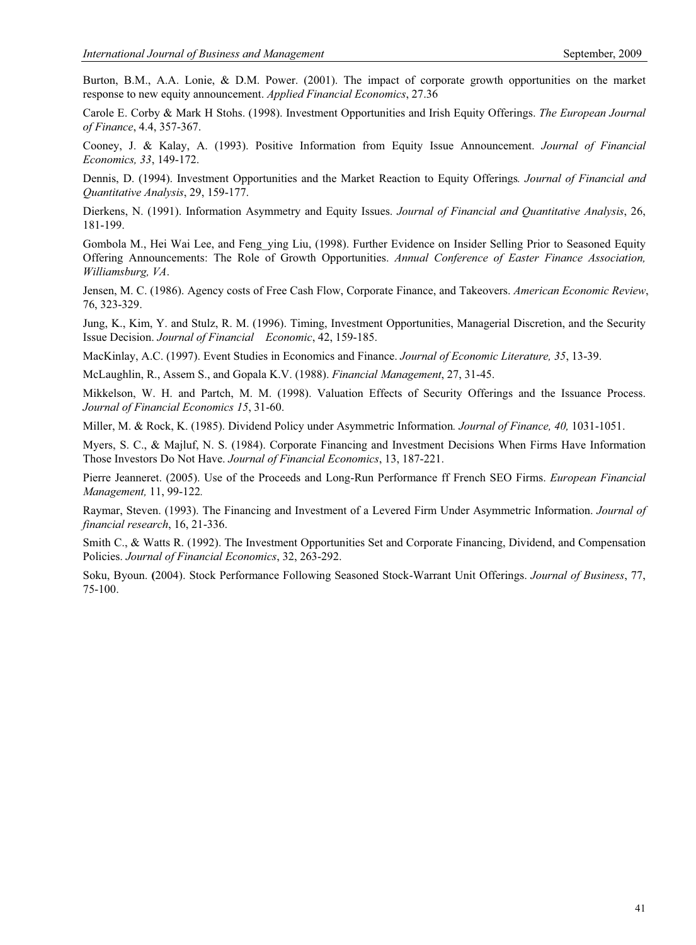Burton, B.M., A.A. Lonie, & D.M. Power. (2001). The impact of corporate growth opportunities on the market response to new equity announcement. *Applied Financial Economics*, 27.36

Carole E. Corby & Mark H Stohs. (1998). Investment Opportunities and Irish Equity Offerings. *The European Journal of Finance*, 4.4, 357-367.

Cooney, J. & Kalay, A. (1993). Positive Information from Equity Issue Announcement. *Journal of Financial Economics, 33*, 149-172.

Dennis, D. (1994). Investment Opportunities and the Market Reaction to Equity Offerings*. Journal of Financial and Quantitative Analysis*, 29, 159-177.

Dierkens, N. (1991). Information Asymmetry and Equity Issues. *Journal of Financial and Quantitative Analysis*, 26, 181-199.

Gombola M., Hei Wai Lee, and Feng\_ying Liu, (1998). Further Evidence on Insider Selling Prior to Seasoned Equity Offering Announcements: The Role of Growth Opportunities. *Annual Conference of Easter Finance Association, Williamsburg, VA*.

Jensen, M. C. (1986). Agency costs of Free Cash Flow, Corporate Finance, and Takeovers. *American Economic Review*, 76, 323-329.

Jung, K., Kim, Y. and Stulz, R. M. (1996). Timing, Investment Opportunities, Managerial Discretion, and the Security Issue Decision. *Journal of Financial Economic*, 42, 159-185.

MacKinlay, A.C. (1997). Event Studies in Economics and Finance. *Journal of Economic Literature, 35*, 13-39.

McLaughlin, R., Assem S., and Gopala K.V. (1988). *Financial Management*, 27, 31-45.

Mikkelson, W. H. and Partch, M. M. (1998). Valuation Effects of Security Offerings and the Issuance Process. *Journal of Financial Economics 15*, 31-60.

Miller, M. & Rock, K. (1985). Dividend Policy under Asymmetric Information*. Journal of Finance, 40,* 1031-1051.

Myers, S. C., & Majluf, N. S. (1984). Corporate Financing and Investment Decisions When Firms Have Information Those Investors Do Not Have. *Journal of Financial Economics*, 13, 187-221.

Pierre Jeanneret. (2005). Use of the Proceeds and Long-Run Performance ff French SEO Firms. *European Financial Management,* 11, 99-122*.*

Raymar, Steven. (1993). The Financing and Investment of a Levered Firm Under Asymmetric Information. *Journal of financial research*, 16, 21-336.

Smith C., & Watts R. (1992). The Investment Opportunities Set and Corporate Financing, Dividend, and Compensation Policies. *Journal of Financial Economics*, 32, 263-292.

Soku, Byoun. **(**2004). Stock Performance Following Seasoned Stock-Warrant Unit Offerings. *Journal of Business*, 77, 75-100.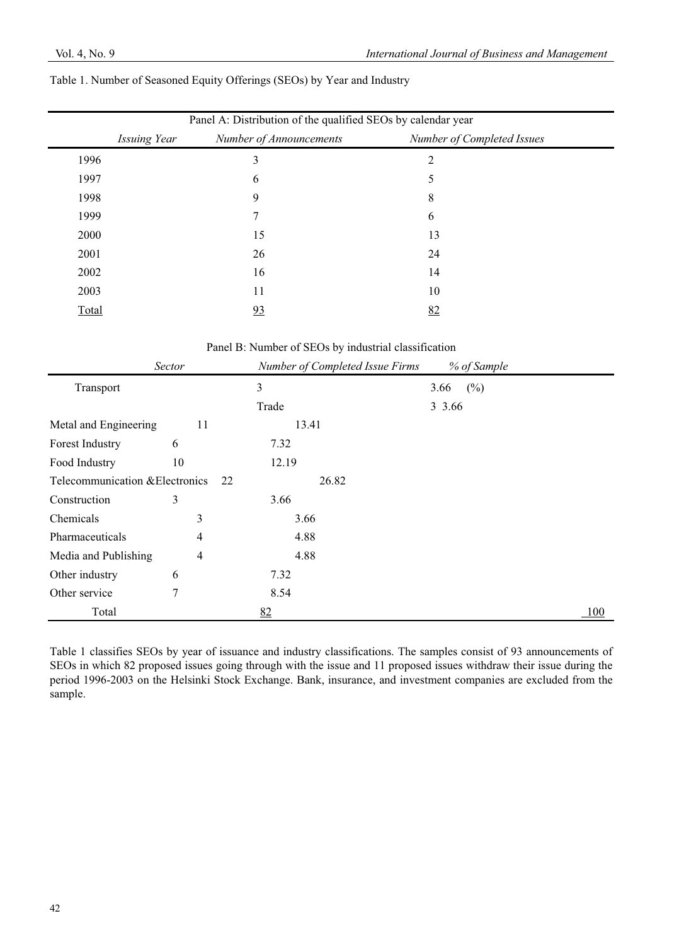|       | Panel A: Distribution of the qualified SEOs by calendar year |                            |  |  |  |  |  |
|-------|--------------------------------------------------------------|----------------------------|--|--|--|--|--|
|       | Number of Announcements<br>Issuing Year                      | Number of Completed Issues |  |  |  |  |  |
| 1996  | 3                                                            | 2                          |  |  |  |  |  |
| 1997  | 6                                                            | 5                          |  |  |  |  |  |
| 1998  | 9                                                            | 8                          |  |  |  |  |  |
| 1999  |                                                              | 6                          |  |  |  |  |  |
| 2000  | 15                                                           | 13                         |  |  |  |  |  |
| 2001  | 26                                                           | 24                         |  |  |  |  |  |
| 2002  | 16                                                           | 14                         |  |  |  |  |  |
| 2003  | 11                                                           | 10                         |  |  |  |  |  |
| Total | 93                                                           | 82                         |  |  |  |  |  |

Panel B: Number of SEOs by industrial classification

|                                 | <b>Sector</b> | Number of Completed Issue Firms | % of Sample |     |
|---------------------------------|---------------|---------------------------------|-------------|-----|
| Transport                       |               | 3                               | (%)<br>3.66 |     |
|                                 |               | Trade                           | 3 3.66      |     |
| Metal and Engineering           | 11            | 13.41                           |             |     |
| Forest Industry                 | 6             | 7.32                            |             |     |
| Food Industry                   | 10            | 12.19                           |             |     |
| Telecommunication & Electronics | 22            | 26.82                           |             |     |
| Construction                    | 3             | 3.66                            |             |     |
| Chemicals                       | 3             | 3.66                            |             |     |
| Pharmaceuticals                 | 4             | 4.88                            |             |     |
| Media and Publishing            | 4             | 4.88                            |             |     |
| Other industry                  | 6             | 7.32                            |             |     |
| Other service                   | 7             | 8.54                            |             |     |
| Total                           |               | 82                              |             | 100 |

Table 1 classifies SEOs by year of issuance and industry classifications. The samples consist of 93 announcements of SEOs in which 82 proposed issues going through with the issue and 11 proposed issues withdraw their issue during the period 1996-2003 on the Helsinki Stock Exchange. Bank, insurance, and investment companies are excluded from the sample.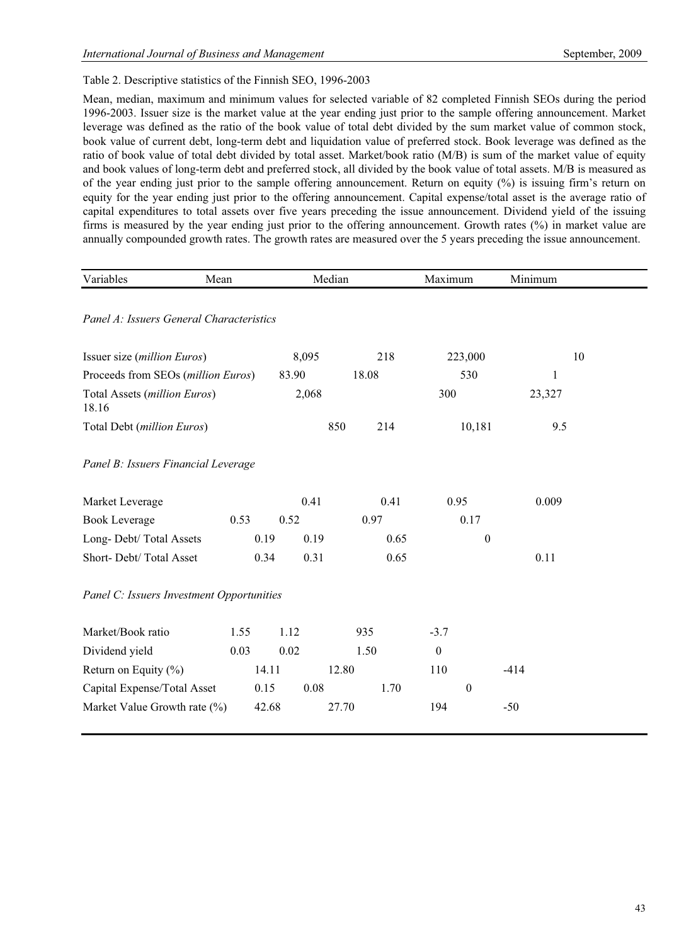# Table 2. Descriptive statistics of the Finnish SEO, 1996-2003

Mean, median, maximum and minimum values for selected variable of 82 completed Finnish SEOs during the period 1996-2003. Issuer size is the market value at the year ending just prior to the sample offering announcement. Market leverage was defined as the ratio of the book value of total debt divided by the sum market value of common stock, book value of current debt, long-term debt and liquidation value of preferred stock. Book leverage was defined as the ratio of book value of total debt divided by total asset. Market/book ratio (M/B) is sum of the market value of equity and book values of long-term debt and preferred stock, all divided by the book value of total assets. M/B is measured as of the year ending just prior to the sample offering announcement. Return on equity (%) is issuing firm's return on equity for the year ending just prior to the offering announcement. Capital expense/total asset is the average ratio of capital expenditures to total assets over five years preceding the issue announcement. Dividend yield of the issuing firms is measured by the year ending just prior to the offering announcement. Growth rates (%) in market value are annually compounded growth rates. The growth rates are measured over the 5 years preceding the issue announcement.

| Variables<br>Mean                         |      |       | Median |       | Maximum          |                  | Minimum      |    |
|-------------------------------------------|------|-------|--------|-------|------------------|------------------|--------------|----|
|                                           |      |       |        |       |                  |                  |              |    |
| Panel A: Issuers General Characteristics  |      |       |        |       |                  |                  |              |    |
| Issuer size (million Euros)               |      |       | 8,095  | 218   | 223,000          |                  |              | 10 |
| Proceeds from SEOs (million Euros)        |      | 83.90 |        | 18.08 | 530              |                  | $\mathbf{1}$ |    |
| Total Assets (million Euros)<br>18.16     |      |       | 2,068  |       | 300              |                  | 23,327       |    |
| Total Debt (million Euros)                |      |       | 850    | 214   |                  | 10,181           | 9.5          |    |
| Panel B: Issuers Financial Leverage       |      |       |        |       |                  |                  |              |    |
| Market Leverage                           |      |       | 0.41   | 0.41  | 0.95             |                  | 0.009        |    |
| <b>Book Leverage</b>                      | 0.53 | 0.52  |        | 0.97  | 0.17             |                  |              |    |
| Long-Debt/Total Assets                    |      | 0.19  | 0.19   | 0.65  |                  | $\boldsymbol{0}$ |              |    |
| Short-Debt/Total Asset                    |      | 0.34  | 0.31   | 0.65  |                  |                  | 0.11         |    |
| Panel C: Issuers Investment Opportunities |      |       |        |       |                  |                  |              |    |
| Market/Book ratio                         | 1.55 | 1.12  |        | 935   | $-3.7$           |                  |              |    |
| Dividend yield                            | 0.03 | 0.02  |        | 1.50  | $\boldsymbol{0}$ |                  |              |    |
| Return on Equity $(\% )$                  |      | 14.11 | 12.80  |       | 110              |                  | $-414$       |    |
| Capital Expense/Total Asset               |      | 0.15  | 0.08   | 1.70  | $\boldsymbol{0}$ |                  |              |    |
| Market Value Growth rate (%)              |      | 42.68 | 27.70  |       | 194              |                  | $-50$        |    |
|                                           |      |       |        |       |                  |                  |              |    |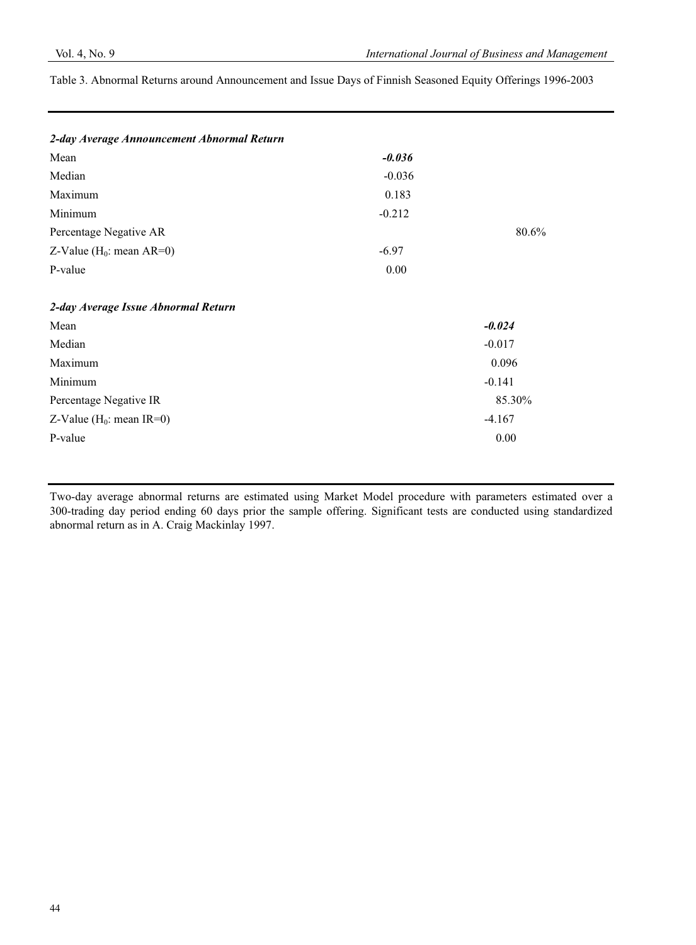Table 3. Abnormal Returns around Announcement and Issue Days of Finnish Seasoned Equity Offerings 1996-2003

| $-0.036$ |          |
|----------|----------|
| $-0.036$ |          |
| 0.183    |          |
| $-0.212$ |          |
|          | 80.6%    |
| $-6.97$  |          |
| 0.00     |          |
|          |          |
|          |          |
|          | $-0.024$ |
|          | $-0.017$ |
|          | 0.096    |
|          | $-0.141$ |
|          | 85.30%   |
|          | $-4.167$ |
|          | 0.00     |
|          |          |

Two-day average abnormal returns are estimated using Market Model procedure with parameters estimated over a 300-trading day period ending 60 days prior the sample offering. Significant tests are conducted using standardized abnormal return as in A. Craig Mackinlay 1997.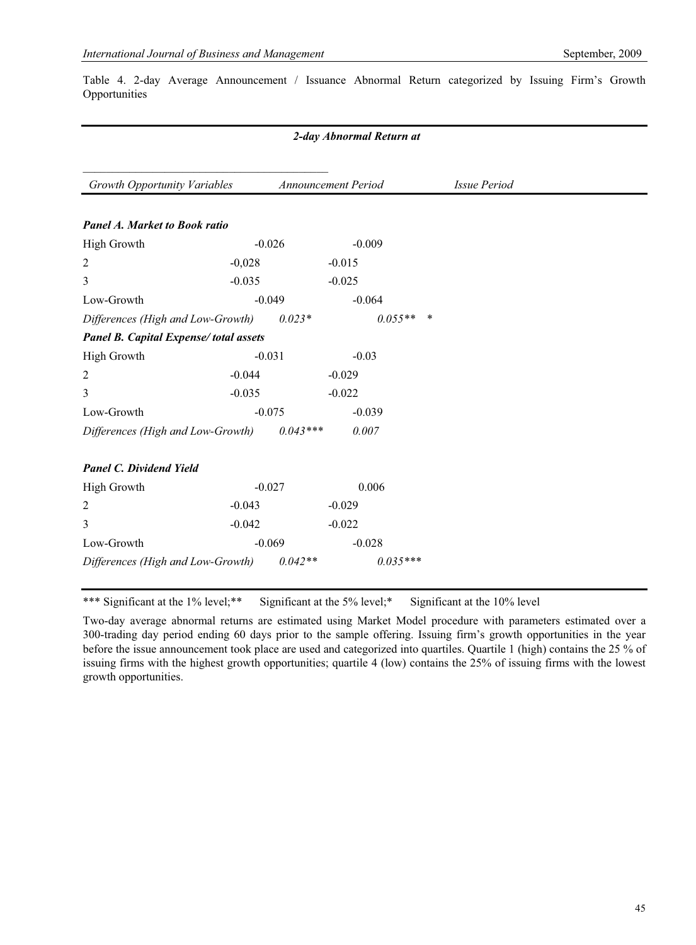Table 4. 2-day Average Announcement / Issuance Abnormal Return categorized by Issuing Firm's Growth Opportunities

## *2-day Abnormal Return at*

| Growth Opportunity Variables          |          |            | Announcement Period |            | <b>Issue Period</b> |  |
|---------------------------------------|----------|------------|---------------------|------------|---------------------|--|
| <b>Panel A. Market to Book ratio</b>  |          |            |                     |            |                     |  |
| High Growth                           | $-0.026$ |            |                     | $-0.009$   |                     |  |
| 2                                     | $-0,028$ |            | $-0.015$            |            |                     |  |
| 3                                     | $-0.035$ |            | $-0.025$            |            |                     |  |
| Low-Growth                            | $-0.049$ |            |                     | $-0.064$   |                     |  |
| Differences (High and Low-Growth)     |          | $0.023*$   |                     | $0.055**$  | $\ast$              |  |
| Panel B. Capital Expense/total assets |          |            |                     |            |                     |  |
| <b>High Growth</b>                    | $-0.031$ |            | $-0.03$             |            |                     |  |
| 2                                     | $-0.044$ |            | $-0.029$            |            |                     |  |
| 3                                     | $-0.035$ |            | $-0.022$            |            |                     |  |
| Low-Growth                            | $-0.075$ |            |                     | $-0.039$   |                     |  |
| Differences (High and Low-Growth)     |          | $0.043***$ | 0.007               |            |                     |  |
| <b>Panel C. Dividend Yield</b>        |          |            |                     |            |                     |  |
| High Growth                           | $-0.027$ |            |                     | 0.006      |                     |  |
| $\overline{c}$                        | $-0.043$ |            | $-0.029$            |            |                     |  |
| 3                                     | $-0.042$ |            | $-0.022$            |            |                     |  |
| Low-Growth                            | $-0.069$ |            |                     | $-0.028$   |                     |  |
| Differences (High and Low-Growth)     |          | $0.042**$  |                     | $0.035***$ |                     |  |

\*\*\* Significant at the 1% level;\*\* Significant at the 5% level;\* Significant at the 10% level

Two-day average abnormal returns are estimated using Market Model procedure with parameters estimated over a 300-trading day period ending 60 days prior to the sample offering. Issuing firm's growth opportunities in the year before the issue announcement took place are used and categorized into quartiles. Quartile 1 (high) contains the 25 % of issuing firms with the highest growth opportunities; quartile 4 (low) contains the 25% of issuing firms with the lowest growth opportunities.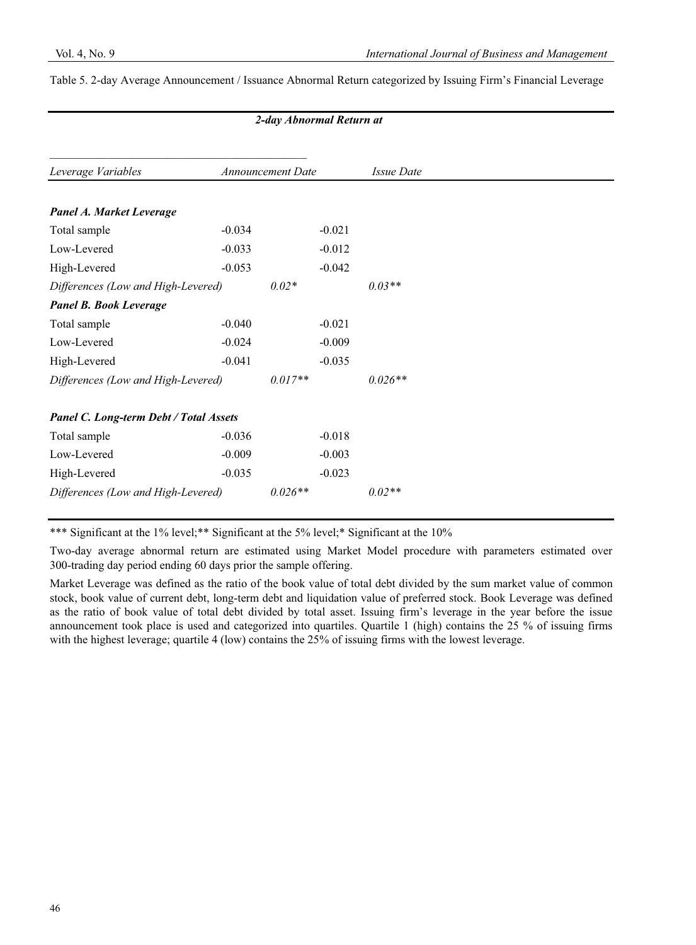## Table 5. 2-day Average Announcement / Issuance Abnormal Return categorized by Issuing Firm's Financial Leverage

| Leverage Variables                            |          | <b>Announcement Date</b> |          | <i>Issue Date</i> |
|-----------------------------------------------|----------|--------------------------|----------|-------------------|
|                                               |          |                          |          |                   |
| Panel A. Market Leverage                      |          |                          |          |                   |
| Total sample                                  | $-0.034$ |                          | $-0.021$ |                   |
| Low-Levered                                   | $-0.033$ |                          | $-0.012$ |                   |
| High-Levered                                  | $-0.053$ |                          | $-0.042$ |                   |
| Differences (Low and High-Levered)            |          | $0.02*$                  |          | $0.03**$          |
| <b>Panel B. Book Leverage</b>                 |          |                          |          |                   |
| Total sample                                  | $-0.040$ |                          | $-0.021$ |                   |
| Low-Levered                                   | $-0.024$ |                          | $-0.009$ |                   |
| High-Levered                                  | $-0.041$ |                          | $-0.035$ |                   |
| Differences (Low and High-Levered)            |          | $0.017**$                |          | $0.026**$         |
| <b>Panel C. Long-term Debt / Total Assets</b> |          |                          |          |                   |
| Total sample                                  | $-0.036$ |                          | $-0.018$ |                   |
| Low-Levered                                   | $-0.009$ |                          | $-0.003$ |                   |
| High-Levered                                  | $-0.035$ |                          | $-0.023$ |                   |
| Differences (Low and High-Levered)            |          | $0.026**$                |          | $0.02**$          |

*2-day Abnormal Return at* 

\*\*\* Significant at the 1% level;\*\* Significant at the 5% level;\* Significant at the 10%

Two-day average abnormal return are estimated using Market Model procedure with parameters estimated over 300-trading day period ending 60 days prior the sample offering.

Market Leverage was defined as the ratio of the book value of total debt divided by the sum market value of common stock, book value of current debt, long-term debt and liquidation value of preferred stock. Book Leverage was defined as the ratio of book value of total debt divided by total asset. Issuing firm's leverage in the year before the issue announcement took place is used and categorized into quartiles. Quartile 1 (high) contains the 25 % of issuing firms with the highest leverage; quartile 4 (low) contains the 25% of issuing firms with the lowest leverage.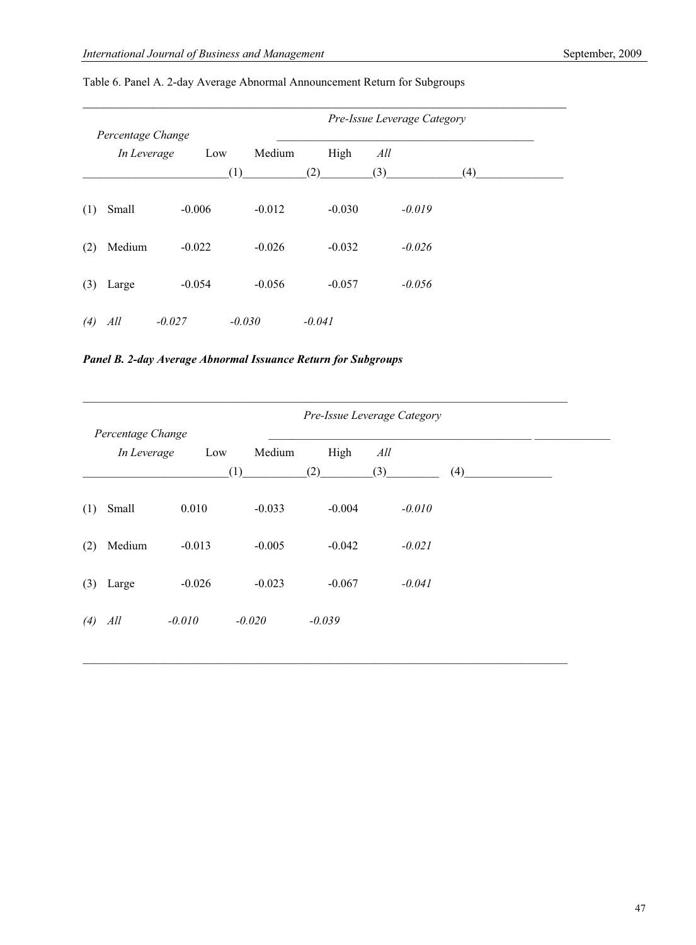|     | Percentage Change |          |               | Pre-Issue Leverage Category |            |     |  |
|-----|-------------------|----------|---------------|-----------------------------|------------|-----|--|
|     | In Leverage       | Low      | Medium<br>(1) | High<br>(2)                 | All<br>(3) | (4) |  |
| (1) | Small             | $-0.006$ | $-0.012$      | $-0.030$                    | $-0.019$   |     |  |
| (2) | Medium            | $-0.022$ | $-0.026$      | $-0.032$                    | $-0.026$   |     |  |
| (3) | Large             | $-0.054$ | $-0.056$      | $-0.057$                    | $-0.056$   |     |  |
| (4) | All               | $-0.027$ | $-0.030$      | $-0.041$                    |            |     |  |

# Table 6. Panel A. 2-day Average Abnormal Announcement Return for Subgroups

*Panel B. 2-day Average Abnormal Issuance Return for Subgroups* 

|     |                   |          |               |             | Pre-Issue Leverage Category |     |
|-----|-------------------|----------|---------------|-------------|-----------------------------|-----|
|     | Percentage Change |          |               |             |                             |     |
|     | In Leverage       | Low      | Medium<br>(1) | High<br>(2) | All<br>(3)                  | (4) |
| (1) | Small             | 0.010    | $-0.033$      | $-0.004$    | $-0.010$                    |     |
| (2) | Medium            | $-0.013$ | $-0.005$      | $-0.042$    | $-0.021$                    |     |
| (3) | Large             | $-0.026$ | $-0.023$      | $-0.067$    | $-0.041$                    |     |
| (4) | All               | $-0.010$ | $-0.020$      | $-0.039$    |                             |     |

\_\_\_\_\_\_\_\_\_\_\_\_\_\_\_\_\_\_\_\_\_\_\_\_\_\_\_\_\_\_\_\_\_\_\_\_\_\_\_\_\_\_\_\_\_\_\_\_\_\_\_\_\_\_\_\_\_\_\_\_\_\_\_\_\_\_\_\_\_\_\_\_\_\_\_\_\_\_\_\_\_\_\_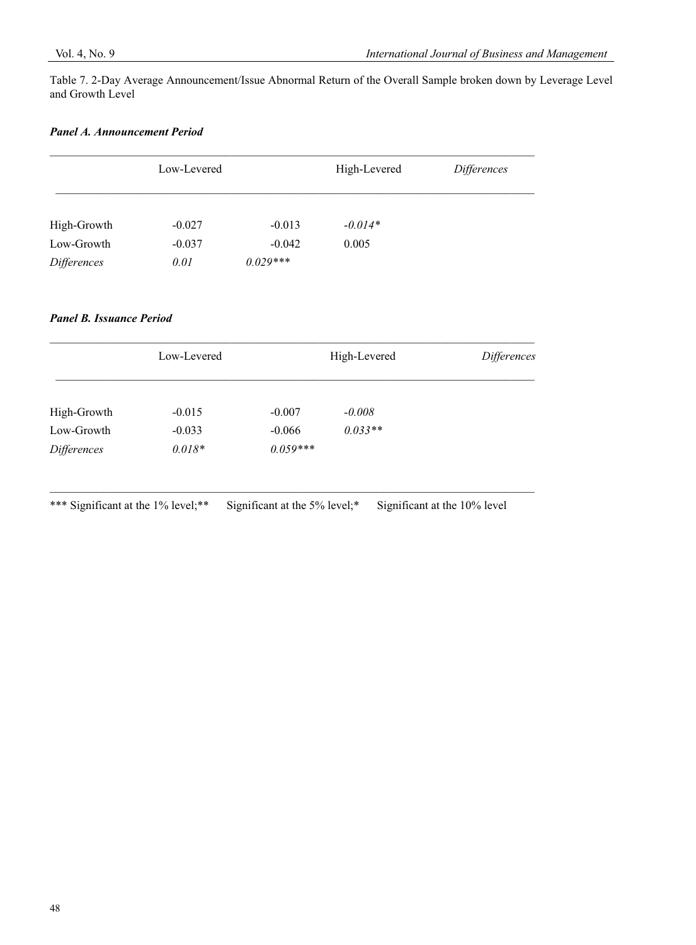Table 7. 2-Day Average Announcement/Issue Abnormal Return of the Overall Sample broken down by Leverage Level and Growth Level

# *Panel A. Announcement Period*

|                           | Low-Levered      |                        | High-Levered | Differences |
|---------------------------|------------------|------------------------|--------------|-------------|
| High-Growth               | $-0.027$         | $-0.013$               | $-0.014*$    |             |
| Low-Growth<br>Differences | $-0.037$<br>0.01 | $-0.042$<br>$0.029***$ | 0.005        |             |

# *Panel B. Issuance Period*

|                    | Low-Levered |            | High-Levered | Differences |
|--------------------|-------------|------------|--------------|-------------|
| High-Growth        | $-0.015$    | $-0.007$   | $-0.008$     |             |
| Low-Growth         | $-0.033$    | $-0.066$   | $0.033**$    |             |
| <i>Differences</i> | $0.018*$    | $0.059***$ |              |             |

\*\*\* Significant at the 1% level;\*\* Significant at the 5% level;\* Significant at the 10% level

\_\_\_\_\_\_\_\_\_\_\_\_\_\_\_\_\_\_\_\_\_\_\_\_\_\_\_\_\_\_\_\_\_\_\_\_\_\_\_\_\_\_\_\_\_\_\_\_\_\_\_\_\_\_\_\_\_\_\_\_\_\_\_\_\_\_\_\_\_\_\_\_\_\_\_\_\_\_\_\_\_\_\_